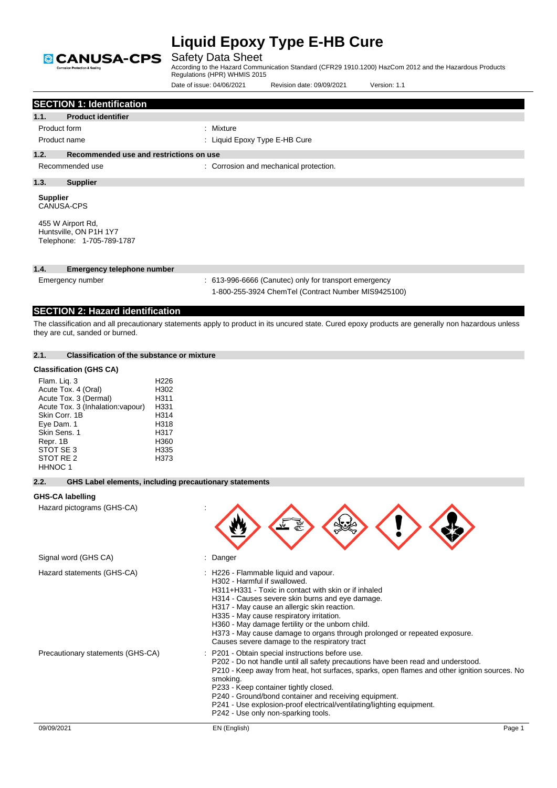

|                                                                                                                                                                                                   | Date of issue: 04/06/2021<br>Revision date: 09/09/2021<br>Version: 1.1                                                                                                                                                                                                                                                                                                                                                                                                                                          |
|---------------------------------------------------------------------------------------------------------------------------------------------------------------------------------------------------|-----------------------------------------------------------------------------------------------------------------------------------------------------------------------------------------------------------------------------------------------------------------------------------------------------------------------------------------------------------------------------------------------------------------------------------------------------------------------------------------------------------------|
| <b>SECTION 1: Identification</b>                                                                                                                                                                  |                                                                                                                                                                                                                                                                                                                                                                                                                                                                                                                 |
| <b>Product identifier</b><br>1.1.                                                                                                                                                                 |                                                                                                                                                                                                                                                                                                                                                                                                                                                                                                                 |
| Product form                                                                                                                                                                                      | : Mixture                                                                                                                                                                                                                                                                                                                                                                                                                                                                                                       |
| Product name                                                                                                                                                                                      | : Liquid Epoxy Type E-HB Cure                                                                                                                                                                                                                                                                                                                                                                                                                                                                                   |
| 1.2.<br>Recommended use and restrictions on use                                                                                                                                                   |                                                                                                                                                                                                                                                                                                                                                                                                                                                                                                                 |
| Recommended use                                                                                                                                                                                   | : Corrosion and mechanical protection.                                                                                                                                                                                                                                                                                                                                                                                                                                                                          |
| 1.3.<br><b>Supplier</b>                                                                                                                                                                           |                                                                                                                                                                                                                                                                                                                                                                                                                                                                                                                 |
| <b>Supplier</b><br><b>CANUSA-CPS</b>                                                                                                                                                              |                                                                                                                                                                                                                                                                                                                                                                                                                                                                                                                 |
| 455 W Airport Rd,<br>Huntsville, ON P1H 1Y7<br>Telephone: 1-705-789-1787                                                                                                                          |                                                                                                                                                                                                                                                                                                                                                                                                                                                                                                                 |
| 1.4.<br><b>Emergency telephone number</b>                                                                                                                                                         |                                                                                                                                                                                                                                                                                                                                                                                                                                                                                                                 |
| Emergency number                                                                                                                                                                                  | : 613-996-6666 (Canutec) only for transport emergency<br>1-800-255-3924 ChemTel (Contract Number MIS9425100)                                                                                                                                                                                                                                                                                                                                                                                                    |
| <b>SECTION 2: Hazard identification</b>                                                                                                                                                           |                                                                                                                                                                                                                                                                                                                                                                                                                                                                                                                 |
| they are cut, sanded or burned.                                                                                                                                                                   | The classification and all precautionary statements apply to product in its uncured state. Cured epoxy products are generally non hazardous unless                                                                                                                                                                                                                                                                                                                                                              |
| 2.1.<br><b>Classification of the substance or mixture</b>                                                                                                                                         |                                                                                                                                                                                                                                                                                                                                                                                                                                                                                                                 |
| <b>Classification (GHS CA)</b>                                                                                                                                                                    |                                                                                                                                                                                                                                                                                                                                                                                                                                                                                                                 |
| Flam. Liq. 3<br>Acute Tox. 4 (Oral)<br>Acute Tox. 3 (Dermal)<br>Acute Tox. 3 (Inhalation: vapour)<br>Skin Corr. 1B<br>Eye Dam. 1<br>Skin Sens. 1<br>Repr. 1B<br>STOT SE 3<br>STOT RE 2<br>HHNOC 1 | H <sub>226</sub><br>H302<br>H311<br>H331<br>H314<br>H318<br>H317<br>H360<br>H335<br>H373                                                                                                                                                                                                                                                                                                                                                                                                                        |
| 2.2.                                                                                                                                                                                              | GHS Label elements, including precautionary statements                                                                                                                                                                                                                                                                                                                                                                                                                                                          |
| <b>GHS-CA labelling</b>                                                                                                                                                                           |                                                                                                                                                                                                                                                                                                                                                                                                                                                                                                                 |
| Hazard pictograms (GHS-CA)                                                                                                                                                                        |                                                                                                                                                                                                                                                                                                                                                                                                                                                                                                                 |
| Signal word (GHS CA)                                                                                                                                                                              | : Danger                                                                                                                                                                                                                                                                                                                                                                                                                                                                                                        |
| Hazard statements (GHS-CA)<br>Precautionary statements (GHS-CA)                                                                                                                                   | : H226 - Flammable liquid and vapour.<br>H302 - Harmful if swallowed.<br>H311+H331 - Toxic in contact with skin or if inhaled<br>H314 - Causes severe skin burns and eye damage.<br>H317 - May cause an allergic skin reaction.<br>H335 - May cause respiratory irritation.<br>H360 - May damage fertility or the unborn child.<br>H373 - May cause damage to organs through prolonged or repeated exposure.<br>Causes severe damage to the respiratory tract<br>P201 - Obtain special instructions before use. |
|                                                                                                                                                                                                   | P202 - Do not handle until all safety precautions have been read and understood.<br>P210 - Keep away from heat, hot surfaces, sparks, open flames and other ignition sources. No<br>smoking.<br>P233 - Keep container tightly closed.<br>P240 - Ground/bond container and receiving equipment.<br>P241 - Use explosion-proof electrical/ventilating/lighting equipment.<br>P242 - Use only non-sparking tools.                                                                                                  |
| 09/09/2021                                                                                                                                                                                        | EN (English)<br>Page 1                                                                                                                                                                                                                                                                                                                                                                                                                                                                                          |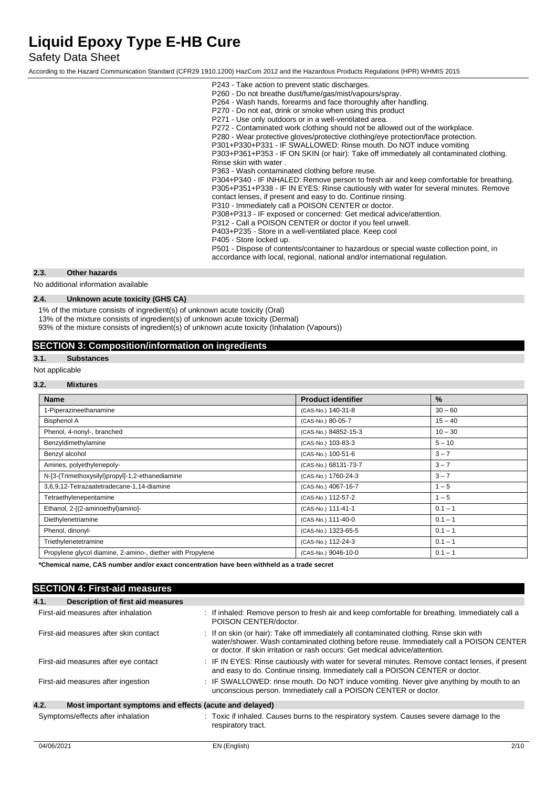Safety Data Sheet

According to the Hazard Communication Standard (CFR29 1910.1200) HazCom 2012 and the Hazardous Products Regulations (HPR) WHMIS 2015

### **2.3. Other hazards**

No additional information available

## **2.4. Unknown acute toxicity (GHS CA)**

1% of the mixture consists of ingredient(s) of unknown acute toxicity (Oral)

13% of the mixture consists of ingredient(s) of unknown acute toxicity (Dermal)

93% of the mixture consists of ingredient(s) of unknown acute toxicity (Inhalation (Vapours))

## **SECTION 3: Composition/information on ingredients**

### **3.1. Substances**

Not applicable

### **3.2. Mixtures**

| <b>Name</b>                                                | <b>Product identifier</b> | $\%$      |
|------------------------------------------------------------|---------------------------|-----------|
| 1-Piperazineethanamine                                     | (CAS-No.) 140-31-8        | $30 - 60$ |
| <b>Bisphenol A</b>                                         | (CAS-No.) 80-05-7         | $15 - 40$ |
| Phenol, 4-nonyl-, branched                                 | (CAS-No.) 84852-15-3      | $10 - 30$ |
| Benzyldimethylamine                                        | (CAS-No.) 103-83-3        | $5 - 10$  |
| Benzyl alcohol                                             | (CAS-No.) 100-51-6        | $3 - 7$   |
| Amines, polyethylenepoly-                                  | (CAS-No.) 68131-73-7      | $3 - 7$   |
| N-[3-(Trimethoxysilyl)propyl]-1,2-ethanediamine            | (CAS-No.) 1760-24-3       | $3 - 7$   |
| 3,6,9,12-Tetrazaatetradecane-1,14-diamine                  | (CAS-No.) 4067-16-7       | $1 - 5$   |
| Tetraethylenepentamine                                     | (CAS-No.) 112-57-2        | $1 - 5$   |
| Ethanol, 2-[(2-aminoethyl)amino]-                          | (CAS-No.) 111-41-1        | $0.1 - 1$ |
| Diethylenetriamine                                         | (CAS-No.) 111-40-0        | $0.1 - 1$ |
| Phenol, dinonyl-                                           | (CAS-No.) 1323-65-5       | $0.1 - 1$ |
| Triethylenetetramine                                       | (CAS-No.) 112-24-3        | $0.1 - 1$ |
| Propylene glycol diamine, 2-amino-, diether with Propylene | (CAS-No.) 9046-10-0       | $0.1 - 1$ |

**\*Chemical name, CAS number and/or exact concentration have been withheld as a trade secret**

## **SECTION 4: First-aid measures**

| 4.1.<br>Description of first aid measures                       |                                                                                                                                                                                                                                                                   |  |
|-----------------------------------------------------------------|-------------------------------------------------------------------------------------------------------------------------------------------------------------------------------------------------------------------------------------------------------------------|--|
| First-aid measures after inhalation                             | : If inhaled: Remove person to fresh air and keep comfortable for breathing. Immediately call a<br>POISON CENTER/doctor.                                                                                                                                          |  |
| First-aid measures after skin contact                           | : If on skin (or hair): Take off immediately all contaminated clothing. Rinse skin with<br>water/shower. Wash contaminated clothing before reuse. Immediately call a POISON CENTER<br>or doctor. If skin irritation or rash occurs: Get medical advice/attention. |  |
| First-aid measures after eye contact                            | : IF IN EYES: Rinse cautiously with water for several minutes. Remove contact lenses, if present<br>and easy to do. Continue rinsing. Immediately call a POISON CENTER or doctor.                                                                                 |  |
| First-aid measures after ingestion                              | : IF SWALLOWED: rinse mouth. Do NOT induce vomiting. Never give anything by mouth to an<br>unconscious person. Immediately call a POISON CENTER or doctor.                                                                                                        |  |
| 4.2.<br>Most important symptoms and effects (acute and delayed) |                                                                                                                                                                                                                                                                   |  |
| Symptoms/effects after inhalation                               | : Toxic if inhaled. Causes burns to the respiratory system. Causes severe damage to the<br>respiratory tract.                                                                                                                                                     |  |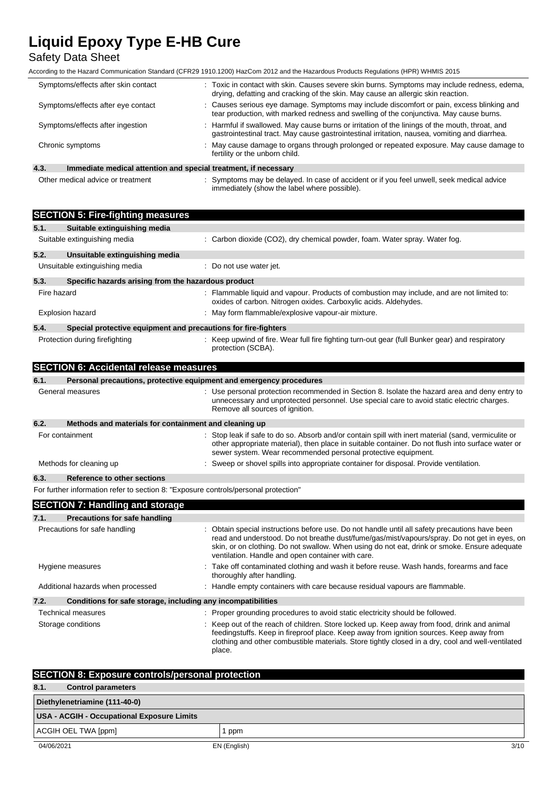Safety Data Sheet

According to the Hazard Communication Standard (CFR29 1910.1200) HazCom 2012 and the Hazardous Products Regulations (HPR) WHMIS 2015

| Symptoms/effects after skin contact                                     | : Toxic in contact with skin. Causes severe skin burns. Symptoms may include redness, edema,<br>drying, defatting and cracking of the skin. May cause an allergic skin reaction.                |  |
|-------------------------------------------------------------------------|-------------------------------------------------------------------------------------------------------------------------------------------------------------------------------------------------|--|
| Symptoms/effects after eye contact                                      | : Causes serious eye damage. Symptoms may include discomfort or pain, excess blinking and<br>tear production, with marked redness and swelling of the conjunctiva. May cause burns.             |  |
| Symptoms/effects after ingestion                                        | : Harmful if swallowed. May cause burns or irritation of the linings of the mouth, throat, and<br>gastrointestinal tract. May cause gastrointestinal irritation, nausea, vomiting and diarrhea. |  |
| Chronic symptoms                                                        | : May cause damage to organs through prolonged or repeated exposure. May cause damage to<br>fertility or the unborn child.                                                                      |  |
| 4.3.<br>Immediate medical attention and special treatment, if necessary |                                                                                                                                                                                                 |  |

Other medical advice or treatment : Symptoms may be delayed. In case of accident or if you feel unwell, seek medical advice immediately (show the label where possible).

|      | <b>SECTION 5: Fire-fighting measures</b>                                            |                                                                                                                                                                                                                                                                                                                                                     |
|------|-------------------------------------------------------------------------------------|-----------------------------------------------------------------------------------------------------------------------------------------------------------------------------------------------------------------------------------------------------------------------------------------------------------------------------------------------------|
| 5.1. | Suitable extinguishing media                                                        |                                                                                                                                                                                                                                                                                                                                                     |
|      | Suitable extinguishing media                                                        | : Carbon dioxide (CO2), dry chemical powder, foam. Water spray. Water fog.                                                                                                                                                                                                                                                                          |
| 5.2. | Unsuitable extinguishing media                                                      |                                                                                                                                                                                                                                                                                                                                                     |
|      | Unsuitable extinguishing media                                                      | : Do not use water jet.                                                                                                                                                                                                                                                                                                                             |
| 5.3. | Specific hazards arising from the hazardous product                                 |                                                                                                                                                                                                                                                                                                                                                     |
|      | Fire hazard                                                                         | : Flammable liquid and vapour. Products of combustion may include, and are not limited to:<br>oxides of carbon. Nitrogen oxides. Carboxylic acids. Aldehydes.                                                                                                                                                                                       |
|      | <b>Explosion hazard</b>                                                             | : May form flammable/explosive vapour-air mixture.                                                                                                                                                                                                                                                                                                  |
| 5.4. | Special protective equipment and precautions for fire-fighters                      |                                                                                                                                                                                                                                                                                                                                                     |
|      | Protection during firefighting                                                      | : Keep upwind of fire. Wear full fire fighting turn-out gear (full Bunker gear) and respiratory<br>protection (SCBA).                                                                                                                                                                                                                               |
|      | <b>SECTION 6: Accidental release measures</b>                                       |                                                                                                                                                                                                                                                                                                                                                     |
| 6.1. |                                                                                     | Personal precautions, protective equipment and emergency procedures                                                                                                                                                                                                                                                                                 |
|      | General measures                                                                    | : Use personal protection recommended in Section 8. Isolate the hazard area and deny entry to<br>unnecessary and unprotected personnel. Use special care to avoid static electric charges.<br>Remove all sources of ignition.                                                                                                                       |
| 6.2. | Methods and materials for containment and cleaning up                               |                                                                                                                                                                                                                                                                                                                                                     |
|      | For containment                                                                     | : Stop leak if safe to do so. Absorb and/or contain spill with inert material (sand, vermiculite or<br>other appropriate material), then place in suitable container. Do not flush into surface water or<br>sewer system. Wear recommended personal protective equipment.                                                                           |
|      | Methods for cleaning up                                                             | : Sweep or shovel spills into appropriate container for disposal. Provide ventilation.                                                                                                                                                                                                                                                              |
| 6.3. | <b>Reference to other sections</b>                                                  |                                                                                                                                                                                                                                                                                                                                                     |
|      | For further information refer to section 8: "Exposure controls/personal protection" |                                                                                                                                                                                                                                                                                                                                                     |
|      | <b>SECTION 7: Handling and storage</b>                                              |                                                                                                                                                                                                                                                                                                                                                     |
| 7.1. | <b>Precautions for safe handling</b>                                                |                                                                                                                                                                                                                                                                                                                                                     |
|      | Precautions for safe handling                                                       | : Obtain special instructions before use. Do not handle until all safety precautions have been<br>read and understood. Do not breathe dust/fume/gas/mist/vapours/spray. Do not get in eyes, on<br>skin, or on clothing. Do not swallow. When using do not eat, drink or smoke. Ensure adequate<br>ventilation. Handle and open container with care. |
|      | Hygiene measures                                                                    | : Take off contaminated clothing and wash it before reuse. Wash hands, forearms and face<br>thoroughly after handling.                                                                                                                                                                                                                              |
|      | Additional hazards when processed                                                   | : Handle empty containers with care because residual vapours are flammable.                                                                                                                                                                                                                                                                         |
| 7.2. | Conditions for safe storage, including any incompatibilities                        |                                                                                                                                                                                                                                                                                                                                                     |
|      | <b>Technical measures</b>                                                           | : Proper grounding procedures to avoid static electricity should be followed.                                                                                                                                                                                                                                                                       |
|      | Storage conditions                                                                  | : Keep out of the reach of children. Store locked up. Keep away from food, drink and animal<br>feedingstuffs. Keep in fireproof place. Keep away from ignition sources. Keep away from<br>clothing and other combustible materials. Store tightly closed in a dry, cool and well-ventilated<br>place.                                               |

| <b>SECTION 8: Exposure controls/personal protection</b> |              |      |
|---------------------------------------------------------|--------------|------|
| 8.1.<br><b>Control parameters</b>                       |              |      |
| Diethylenetriamine (111-40-0)                           |              |      |
| USA - ACGIH - Occupational Exposure Limits              |              |      |
| ACGIH OEL TWA [ppm]                                     | ppm          |      |
| 04/06/2021                                              | EN (English) | 3/10 |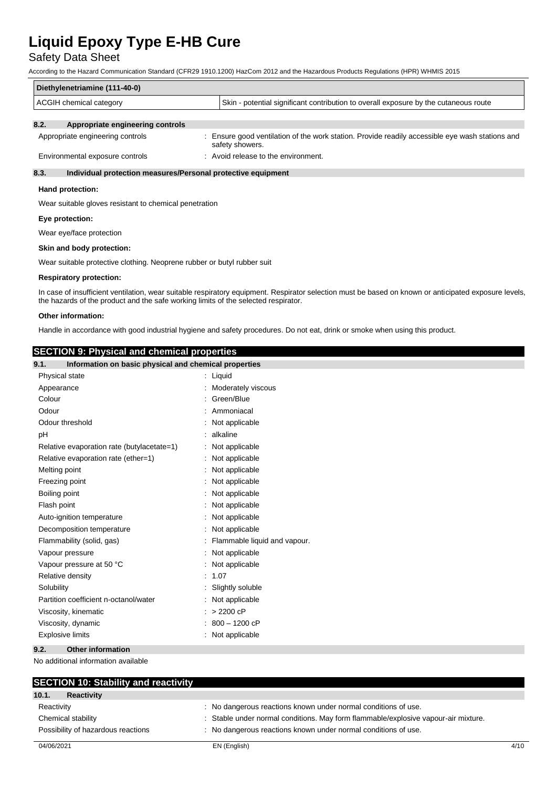## Safety Data Sheet

According to the Hazard Communication Standard (CFR29 1910.1200) HazCom 2012 and the Hazardous Products Regulations (HPR) WHMIS 2015

| Diethylenetriamine (111-40-0) |                                  |                                                                                      |
|-------------------------------|----------------------------------|--------------------------------------------------------------------------------------|
| ACGIH chemical category       |                                  | Skin - potential significant contribution to overall exposure by the cutaneous route |
| 8.2.                          | Appropriate engineering controls |                                                                                      |

| Appropriate engineering controls | Ensure good ventilation of the work station. Provide readily accessible eye wash stations and |
|----------------------------------|-----------------------------------------------------------------------------------------------|
|                                  | safety showers.                                                                               |
| Environmental exposure controls  | Avoid release to the environment.                                                             |

### **8.3. Individual protection measures/Personal protective equipment**

#### **Hand protection:**

Wear suitable gloves resistant to chemical penetration

### **Eye protection:**

Wear eye/face protection

#### **Skin and body protection:**

Wear suitable protective clothing. Neoprene rubber or butyl rubber suit

#### **Respiratory protection:**

In case of insufficient ventilation, wear suitable respiratory equipment. Respirator selection must be based on known or anticipated exposure levels, the hazards of the product and the safe working limits of the selected respirator.

### **Other information:**

Handle in accordance with good industrial hygiene and safety procedures. Do not eat, drink or smoke when using this product.

## **SECTION 9: Physical and chemical properties**

| ---------<br>9.1.<br>Information on basic physical and chemical properties |                                |
|----------------------------------------------------------------------------|--------------------------------|
| Physical state                                                             | : Liquid                       |
| Appearance                                                                 | : Moderately viscous           |
| Colour                                                                     | : Green/Blue                   |
| Odour                                                                      | Ammoniacal                     |
| Odour threshold                                                            | Not applicable                 |
| pH                                                                         | alkaline                       |
| Relative evaporation rate (butylacetate=1)                                 | Not applicable                 |
| Relative evaporation rate (ether=1)                                        | Not applicable                 |
| Melting point                                                              | : Not applicable               |
| Freezing point                                                             | Not applicable                 |
| Boiling point                                                              | Not applicable                 |
| Flash point                                                                | Not applicable                 |
| Auto-ignition temperature                                                  | Not applicable                 |
| Decomposition temperature                                                  | Not applicable                 |
| Flammability (solid, gas)                                                  | : Flammable liquid and vapour. |
| Vapour pressure                                                            | : Not applicable               |
| Vapour pressure at 50 °C                                                   | : Not applicable               |
| Relative density                                                           | : 1.07                         |
| Solubility                                                                 | Slightly soluble               |
| Partition coefficient n-octanol/water                                      | : Not applicable               |
| Viscosity, kinematic                                                       | $: > 2200$ cP                  |
| Viscosity, dynamic                                                         | 800 - 1200 cP                  |
| <b>Explosive limits</b>                                                    | : Not applicable               |
| 9.2.<br><b>Other information</b>                                           |                                |

No additional information available

| <b>SECTION 10: Stability and reactivity</b> |                                                                                    |      |
|---------------------------------------------|------------------------------------------------------------------------------------|------|
| 10.1.<br><b>Reactivity</b>                  |                                                                                    |      |
| Reactivity                                  | : No dangerous reactions known under normal conditions of use.                     |      |
| Chemical stability                          | : Stable under normal conditions. May form flammable/explosive vapour-air mixture. |      |
| Possibility of hazardous reactions          | : No dangerous reactions known under normal conditions of use.                     |      |
| 04/06/2021                                  | EN (English)                                                                       | 4/10 |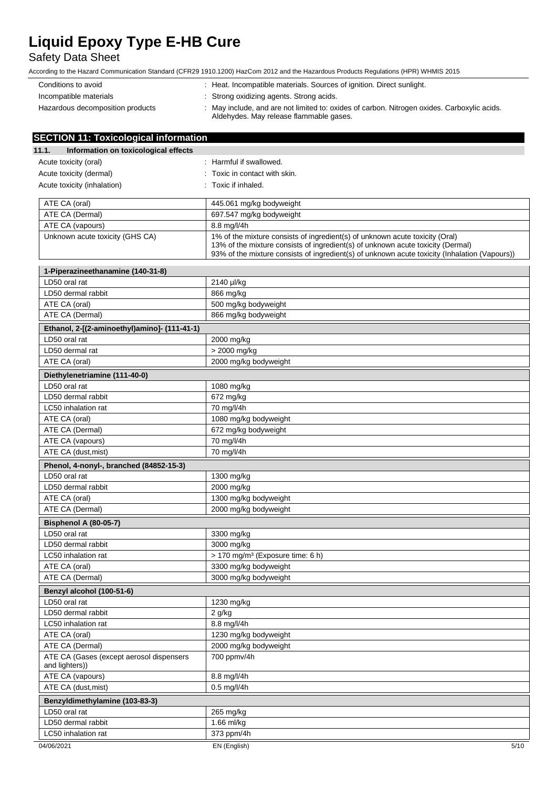## Safety Data Sheet

| Conditions to avoid              | : Heat. Incompatible materials. Sources of ignition. Direct sunlight.                                                                  |
|----------------------------------|----------------------------------------------------------------------------------------------------------------------------------------|
| Incompatible materials           | : Strong oxidizing agents. Strong acids.                                                                                               |
| Hazardous decomposition products | : May include, and are not limited to: oxides of carbon. Nitrogen oxides. Carboxylic acids.<br>Aldehydes. May release flammable gases. |

| <b>SECTION 11: Toxicological information</b>               |                                                                                                                                                                                                                                                                  |
|------------------------------------------------------------|------------------------------------------------------------------------------------------------------------------------------------------------------------------------------------------------------------------------------------------------------------------|
| 11.1.<br>Information on toxicological effects              |                                                                                                                                                                                                                                                                  |
| Acute toxicity (oral)                                      | : Harmful if swallowed.                                                                                                                                                                                                                                          |
| Acute toxicity (dermal)                                    | : Toxic in contact with skin.                                                                                                                                                                                                                                    |
| Acute toxicity (inhalation)                                | : Toxic if inhaled.                                                                                                                                                                                                                                              |
|                                                            |                                                                                                                                                                                                                                                                  |
| ATE CA (oral)                                              | 445.061 mg/kg bodyweight                                                                                                                                                                                                                                         |
| ATE CA (Dermal)                                            | 697.547 mg/kg bodyweight                                                                                                                                                                                                                                         |
| ATE CA (vapours)                                           | 8.8 mg/l/4h                                                                                                                                                                                                                                                      |
| Unknown acute toxicity (GHS CA)                            | 1% of the mixture consists of ingredient(s) of unknown acute toxicity (Oral)<br>13% of the mixture consists of ingredient(s) of unknown acute toxicity (Dermal)<br>93% of the mixture consists of ingredient(s) of unknown acute toxicity (Inhalation (Vapours)) |
| 1-Piperazineethanamine (140-31-8)                          |                                                                                                                                                                                                                                                                  |
| LD50 oral rat                                              | 2140 µl/kg                                                                                                                                                                                                                                                       |
| LD50 dermal rabbit                                         | 866 mg/kg                                                                                                                                                                                                                                                        |
| ATE CA (oral)                                              | 500 mg/kg bodyweight                                                                                                                                                                                                                                             |
| ATE CA (Dermal)                                            | 866 mg/kg bodyweight                                                                                                                                                                                                                                             |
| Ethanol, 2-[(2-aminoethyl)amino]- (111-41-1)               |                                                                                                                                                                                                                                                                  |
| LD50 oral rat                                              | 2000 mg/kg                                                                                                                                                                                                                                                       |
| LD50 dermal rat                                            | > 2000 mg/kg                                                                                                                                                                                                                                                     |
| ATE CA (oral)                                              | 2000 mg/kg bodyweight                                                                                                                                                                                                                                            |
| Diethylenetriamine (111-40-0)                              |                                                                                                                                                                                                                                                                  |
| LD50 oral rat                                              | 1080 mg/kg                                                                                                                                                                                                                                                       |
| LD50 dermal rabbit                                         | 672 mg/kg                                                                                                                                                                                                                                                        |
| LC50 inhalation rat                                        | 70 mg/l/4h                                                                                                                                                                                                                                                       |
| ATE CA (oral)                                              | 1080 mg/kg bodyweight                                                                                                                                                                                                                                            |
| ATE CA (Dermal)                                            | 672 mg/kg bodyweight                                                                                                                                                                                                                                             |
| ATE CA (vapours)                                           | 70 mg/l/4h                                                                                                                                                                                                                                                       |
| ATE CA (dust, mist)                                        | 70 mg/l/4h                                                                                                                                                                                                                                                       |
| Phenol, 4-nonyl-, branched (84852-15-3)                    |                                                                                                                                                                                                                                                                  |
| LD50 oral rat                                              | 1300 mg/kg                                                                                                                                                                                                                                                       |
| LD50 dermal rabbit                                         | 2000 mg/kg                                                                                                                                                                                                                                                       |
| ATE CA (oral)                                              | 1300 mg/kg bodyweight                                                                                                                                                                                                                                            |
| ATE CA (Dermal)                                            | 2000 mg/kg bodyweight                                                                                                                                                                                                                                            |
| Bisphenol A (80-05-7)                                      |                                                                                                                                                                                                                                                                  |
| LD50 oral rat                                              | 3300 mg/kg                                                                                                                                                                                                                                                       |
| LD50 dermal rabbit                                         | 3000 mg/kg                                                                                                                                                                                                                                                       |
| LC50 inhalation rat                                        | > 170 mg/m <sup>3</sup> (Exposure time: 6 h)                                                                                                                                                                                                                     |
| ATE CA (oral)                                              | 3300 mg/kg bodyweight                                                                                                                                                                                                                                            |
| ATE CA (Dermal)                                            | 3000 mg/kg bodyweight                                                                                                                                                                                                                                            |
| Benzyl alcohol (100-51-6)                                  |                                                                                                                                                                                                                                                                  |
| LD50 oral rat                                              | 1230 mg/kg                                                                                                                                                                                                                                                       |
| LD50 dermal rabbit                                         | $2$ g/kg                                                                                                                                                                                                                                                         |
| LC50 inhalation rat                                        | 8.8 mg/l/4h                                                                                                                                                                                                                                                      |
| ATE CA (oral)                                              | 1230 mg/kg bodyweight                                                                                                                                                                                                                                            |
| ATE CA (Dermal)                                            | 2000 mg/kg bodyweight                                                                                                                                                                                                                                            |
| ATE CA (Gases (except aerosol dispensers<br>and lighters)) | 700 ppmv/4h                                                                                                                                                                                                                                                      |
| ATE CA (vapours)                                           | 8.8 mg/l/4h                                                                                                                                                                                                                                                      |
| ATE CA (dust, mist)                                        | 0.5 mg/l/4h                                                                                                                                                                                                                                                      |
| Benzyldimethylamine (103-83-3)                             |                                                                                                                                                                                                                                                                  |
| LD50 oral rat                                              | 265 mg/kg                                                                                                                                                                                                                                                        |
| LD50 dermal rabbit                                         | 1.66 ml/kg                                                                                                                                                                                                                                                       |
| LC50 inhalation rat                                        | 373 ppm/4h                                                                                                                                                                                                                                                       |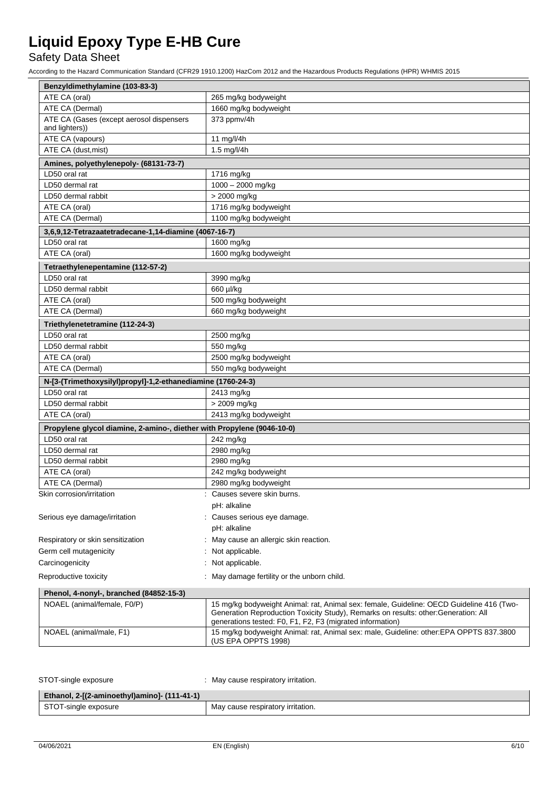## Safety Data Sheet

| Benzyldimethylamine (103-83-3)                                         |                                                                                                                                                                                                                                              |
|------------------------------------------------------------------------|----------------------------------------------------------------------------------------------------------------------------------------------------------------------------------------------------------------------------------------------|
| ATE CA (oral)                                                          | 265 mg/kg bodyweight                                                                                                                                                                                                                         |
| ATE CA (Dermal)                                                        | 1660 mg/kg bodyweight                                                                                                                                                                                                                        |
| ATE CA (Gases (except aerosol dispensers                               | 373 ppmv/4h                                                                                                                                                                                                                                  |
| and lighters))                                                         |                                                                                                                                                                                                                                              |
| ATE CA (vapours)                                                       | 11 mg/l/4h                                                                                                                                                                                                                                   |
| ATE CA (dust, mist)                                                    | 1.5 mg/l/4h                                                                                                                                                                                                                                  |
| Amines, polyethylenepoly- (68131-73-7)                                 |                                                                                                                                                                                                                                              |
| LD50 oral rat                                                          | 1716 mg/kg                                                                                                                                                                                                                                   |
| LD50 dermal rat                                                        | 1000 - 2000 mg/kg                                                                                                                                                                                                                            |
| LD50 dermal rabbit                                                     | > 2000 mg/kg                                                                                                                                                                                                                                 |
| ATE CA (oral)                                                          | 1716 mg/kg bodyweight                                                                                                                                                                                                                        |
| ATE CA (Dermal)                                                        | 1100 mg/kg bodyweight                                                                                                                                                                                                                        |
| 3,6,9,12-Tetrazaatetradecane-1,14-diamine (4067-16-7)                  |                                                                                                                                                                                                                                              |
| LD50 oral rat                                                          | 1600 mg/kg                                                                                                                                                                                                                                   |
| ATE CA (oral)                                                          | 1600 mg/kg bodyweight                                                                                                                                                                                                                        |
| Tetraethylenepentamine (112-57-2)                                      |                                                                                                                                                                                                                                              |
| LD50 oral rat                                                          | 3990 mg/kg                                                                                                                                                                                                                                   |
| LD50 dermal rabbit                                                     | 660 µl/kg                                                                                                                                                                                                                                    |
| ATE CA (oral)                                                          | 500 mg/kg bodyweight                                                                                                                                                                                                                         |
| ATE CA (Dermal)                                                        | 660 mg/kg bodyweight                                                                                                                                                                                                                         |
|                                                                        |                                                                                                                                                                                                                                              |
| Triethylenetetramine (112-24-3)                                        |                                                                                                                                                                                                                                              |
| LD50 oral rat                                                          | 2500 mg/kg                                                                                                                                                                                                                                   |
| LD50 dermal rabbit                                                     | 550 mg/kg                                                                                                                                                                                                                                    |
| ATE CA (oral)                                                          | 2500 mg/kg bodyweight                                                                                                                                                                                                                        |
| ATE CA (Dermal)                                                        | 550 mg/kg bodyweight                                                                                                                                                                                                                         |
| N-[3-(Trimethoxysilyl)propyl]-1,2-ethanediamine (1760-24-3)            |                                                                                                                                                                                                                                              |
| LD50 oral rat                                                          | 2413 mg/kg                                                                                                                                                                                                                                   |
| LD50 dermal rabbit                                                     | > 2009 mg/kg                                                                                                                                                                                                                                 |
| ATE CA (oral)                                                          | 2413 mg/kg bodyweight                                                                                                                                                                                                                        |
| Propylene glycol diamine, 2-amino-, diether with Propylene (9046-10-0) |                                                                                                                                                                                                                                              |
| LD50 oral rat                                                          | 242 mg/kg                                                                                                                                                                                                                                    |
| LD50 dermal rat                                                        | 2980 mg/kg                                                                                                                                                                                                                                   |
| LD50 dermal rabbit                                                     | 2980 mg/kg                                                                                                                                                                                                                                   |
| ATE CA (oral)                                                          | 242 mg/kg bodyweight                                                                                                                                                                                                                         |
| ATE CA (Dermal)                                                        | 2980 mg/kg bodyweight                                                                                                                                                                                                                        |
| Skin corrosion/irritation                                              | : Causes severe skin burns.                                                                                                                                                                                                                  |
|                                                                        | pH: alkaline                                                                                                                                                                                                                                 |
| Serious eye damage/irritation                                          | Causes serious eye damage.                                                                                                                                                                                                                   |
|                                                                        | pH: alkaline                                                                                                                                                                                                                                 |
| Respiratory or skin sensitization                                      | May cause an allergic skin reaction.                                                                                                                                                                                                         |
| Germ cell mutagenicity                                                 | Not applicable.                                                                                                                                                                                                                              |
| Carcinogenicity                                                        | Not applicable.                                                                                                                                                                                                                              |
|                                                                        |                                                                                                                                                                                                                                              |
| Reproductive toxicity                                                  | May damage fertility or the unborn child.                                                                                                                                                                                                    |
| Phenol, 4-nonyl-, branched (84852-15-3)                                |                                                                                                                                                                                                                                              |
| NOAEL (animal/female, F0/P)                                            | 15 mg/kg bodyweight Animal: rat, Animal sex: female, Guideline: OECD Guideline 416 (Two-<br>Generation Reproduction Toxicity Study), Remarks on results: other: Generation: All<br>generations tested: F0, F1, F2, F3 (migrated information) |
| NOAEL (animal/male, F1)                                                | 15 mg/kg bodyweight Animal: rat, Animal sex: male, Guideline: other:EPA OPPTS 837.3800<br>(US EPA OPPTS 1998)                                                                                                                                |

| STOT-single exposure                         | : May cause respiratory irritation. |
|----------------------------------------------|-------------------------------------|
| Ethanol, 2-[(2-aminoethyl)amino]- (111-41-1) |                                     |
| STOT-single exposure                         | May cause respiratory irritation.   |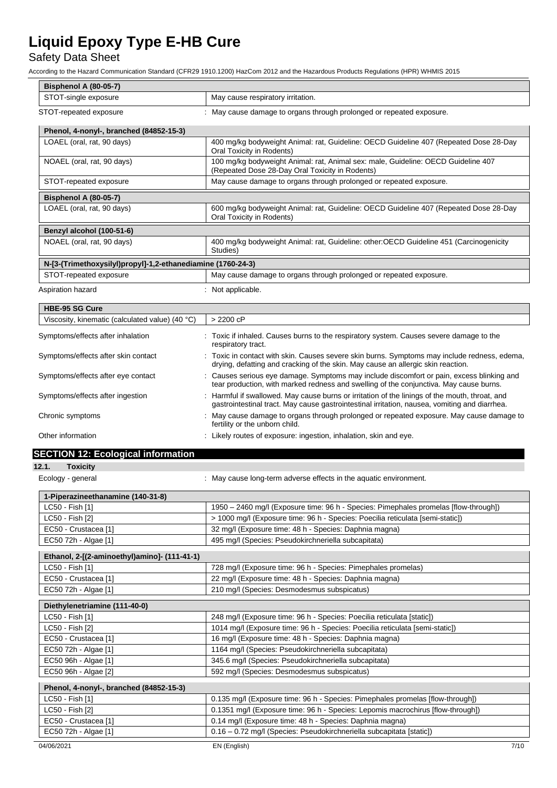## Safety Data Sheet

| <b>Bisphenol A (80-05-7)</b>                                |                                                                                                                                                                                               |  |
|-------------------------------------------------------------|-----------------------------------------------------------------------------------------------------------------------------------------------------------------------------------------------|--|
| STOT-single exposure                                        | May cause respiratory irritation.                                                                                                                                                             |  |
| STOT-repeated exposure                                      | : May cause damage to organs through prolonged or repeated exposure.                                                                                                                          |  |
|                                                             |                                                                                                                                                                                               |  |
| Phenol, 4-nonyl-, branched (84852-15-3)                     |                                                                                                                                                                                               |  |
| LOAEL (oral, rat, 90 days)                                  | 400 mg/kg bodyweight Animal: rat, Guideline: OECD Guideline 407 (Repeated Dose 28-Day<br>Oral Toxicity in Rodents)                                                                            |  |
| NOAEL (oral, rat, 90 days)                                  | 100 mg/kg bodyweight Animal: rat, Animal sex: male, Guideline: OECD Guideline 407<br>(Repeated Dose 28-Day Oral Toxicity in Rodents)                                                          |  |
| STOT-repeated exposure                                      | May cause damage to organs through prolonged or repeated exposure.                                                                                                                            |  |
| <b>Bisphenol A (80-05-7)</b>                                |                                                                                                                                                                                               |  |
| LOAEL (oral, rat, 90 days)                                  | 600 mg/kg bodyweight Animal: rat, Guideline: OECD Guideline 407 (Repeated Dose 28-Day<br>Oral Toxicity in Rodents)                                                                            |  |
| Benzyl alcohol (100-51-6)                                   |                                                                                                                                                                                               |  |
| NOAEL (oral, rat, 90 days)                                  | 400 mg/kg bodyweight Animal: rat, Guideline: other: OECD Guideline 451 (Carcinogenicity<br>Studies)                                                                                           |  |
| N-[3-(Trimethoxysilyl)propyl]-1,2-ethanediamine (1760-24-3) |                                                                                                                                                                                               |  |
| STOT-repeated exposure                                      | May cause damage to organs through prolonged or repeated exposure.                                                                                                                            |  |
| Aspiration hazard                                           | : Not applicable.                                                                                                                                                                             |  |
| <b>HBE-95 SG Cure</b>                                       |                                                                                                                                                                                               |  |
| Viscosity, kinematic (calculated value) (40 °C)             | $> 2200$ cP                                                                                                                                                                                   |  |
| Symptoms/effects after inhalation                           | : Toxic if inhaled. Causes burns to the respiratory system. Causes severe damage to the<br>respiratory tract.                                                                                 |  |
| Symptoms/effects after skin contact                         | : Toxic in contact with skin. Causes severe skin burns. Symptoms may include redness, edema,<br>drying, defatting and cracking of the skin. May cause an allergic skin reaction.              |  |
| Symptoms/effects after eye contact                          | : Causes serious eye damage. Symptoms may include discomfort or pain, excess blinking and<br>tear production, with marked redness and swelling of the conjunctiva. May cause burns.           |  |
| Symptoms/effects after ingestion                            | Harmful if swallowed. May cause burns or irritation of the linings of the mouth, throat, and<br>gastrointestinal tract. May cause gastrointestinal irritation, nausea, vomiting and diarrhea. |  |
| Chronic symptoms                                            | : May cause damage to organs through prolonged or repeated exposure. May cause damage to<br>fertility or the unborn child.                                                                    |  |
| Other information                                           | : Likely routes of exposure: ingestion, inhalation, skin and eye.                                                                                                                             |  |
| <b>SECTION 12: Ecological information</b>                   |                                                                                                                                                                                               |  |
| 12.1.<br><b>Toxicity</b>                                    |                                                                                                                                                                                               |  |
| Ecology - general                                           | : May cause long-term adverse effects in the aquatic environment.                                                                                                                             |  |
| 1-Piperazineethanamine (140-31-8)                           |                                                                                                                                                                                               |  |
| LC50 - Fish [1]                                             | 1950 - 2460 mg/l (Exposure time: 96 h - Species: Pimephales promelas [flow-through])                                                                                                          |  |
| LC50 - Fish [2]                                             | > 1000 mg/l (Exposure time: 96 h - Species: Poecilia reticulata [semi-static])                                                                                                                |  |
| EC50 - Crustacea [1]                                        | 32 mg/l (Exposure time: 48 h - Species: Daphnia magna)                                                                                                                                        |  |
| EC50 72h - Algae [1]                                        | 495 mg/l (Species: Pseudokirchneriella subcapitata)                                                                                                                                           |  |
| Ethanol, 2-[(2-aminoethyl)amino]- (111-41-1)                |                                                                                                                                                                                               |  |
| LC50 - Fish [1]                                             | 728 mg/l (Exposure time: 96 h - Species: Pimephales promelas)                                                                                                                                 |  |
| EC50 - Crustacea [1]                                        | 22 mg/l (Exposure time: 48 h - Species: Daphnia magna)                                                                                                                                        |  |
| EC50 72h - Algae [1]                                        | 210 mg/l (Species: Desmodesmus subspicatus)                                                                                                                                                   |  |
| Diethylenetriamine (111-40-0)                               |                                                                                                                                                                                               |  |
| LC50 - Fish [1]                                             | 248 mg/l (Exposure time: 96 h - Species: Poecilia reticulata [static])                                                                                                                        |  |
| LC50 - Fish [2]                                             | 1014 mg/l (Exposure time: 96 h - Species: Poecilia reticulata [semi-static])                                                                                                                  |  |
| EC50 - Crustacea [1]                                        | 16 mg/l (Exposure time: 48 h - Species: Daphnia magna)                                                                                                                                        |  |
| EC50 72h - Algae [1]                                        | 1164 mg/l (Species: Pseudokirchneriella subcapitata)                                                                                                                                          |  |
| EC50 96h - Algae [1]                                        | 345.6 mg/l (Species: Pseudokirchneriella subcapitata)                                                                                                                                         |  |
| EC50 96h - Algae [2]                                        | 592 mg/l (Species: Desmodesmus subspicatus)                                                                                                                                                   |  |
| Phenol, 4-nonyl-, branched (84852-15-3)                     |                                                                                                                                                                                               |  |
| LC50 - Fish [1]                                             | 0.135 mg/l (Exposure time: 96 h - Species: Pimephales promelas [flow-through])                                                                                                                |  |
| LC50 - Fish [2]                                             | 0.1351 mg/l (Exposure time: 96 h - Species: Lepomis macrochirus [flow-through])                                                                                                               |  |
| EC50 - Crustacea [1]                                        | 0.14 mg/l (Exposure time: 48 h - Species: Daphnia magna)                                                                                                                                      |  |
| EC50 72h - Algae [1]                                        | 0.16 - 0.72 mg/l (Species: Pseudokirchneriella subcapitata [static])                                                                                                                          |  |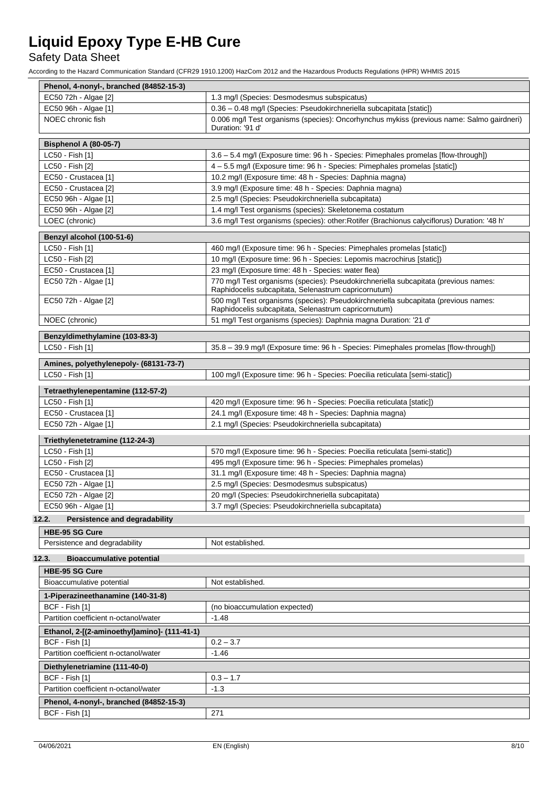## Safety Data Sheet

| Phenol, 4-nonyl-, branched (84852-15-3)      |                                                                                                                                             |
|----------------------------------------------|---------------------------------------------------------------------------------------------------------------------------------------------|
| EC50 72h - Algae [2]                         | 1.3 mg/l (Species: Desmodesmus subspicatus)                                                                                                 |
| EC50 96h - Algae [1]                         | 0.36 - 0.48 mg/l (Species: Pseudokirchneriella subcapitata [static])                                                                        |
| NOEC chronic fish                            | 0.006 mg/l Test organisms (species): Oncorhynchus mykiss (previous name: Salmo gairdneri)<br>Duration: '91 d'                               |
| <b>Bisphenol A (80-05-7)</b>                 |                                                                                                                                             |
| LC50 - Fish [1]                              | 3.6 - 5.4 mg/l (Exposure time: 96 h - Species: Pimephales promelas [flow-through])                                                          |
| LC50 - Fish [2]                              | 4 - 5.5 mg/l (Exposure time: 96 h - Species: Pimephales promelas [static])                                                                  |
| EC50 - Crustacea [1]                         | 10.2 mg/l (Exposure time: 48 h - Species: Daphnia magna)                                                                                    |
| EC50 - Crustacea [2]                         | 3.9 mg/l (Exposure time: 48 h - Species: Daphnia magna)                                                                                     |
| EC50 96h - Algae [1]                         | 2.5 mg/l (Species: Pseudokirchneriella subcapitata)                                                                                         |
| EC50 96h - Algae [2]                         | 1.4 mg/l Test organisms (species): Skeletonema costatum                                                                                     |
| LOEC (chronic)                               | 3.6 mg/l Test organisms (species): other: Rotifer (Brachionus calyciflorus) Duration: '48 h'                                                |
| Benzyl alcohol (100-51-6)                    |                                                                                                                                             |
| LC50 - Fish [1]                              | 460 mg/l (Exposure time: 96 h - Species: Pimephales promelas [static])                                                                      |
| LC50 - Fish [2]                              | 10 mg/l (Exposure time: 96 h - Species: Lepomis macrochirus [static])                                                                       |
| EC50 - Crustacea [1]                         | 23 mg/l (Exposure time: 48 h - Species: water flea)                                                                                         |
| EC50 72h - Algae [1]                         | 770 mg/l Test organisms (species): Pseudokirchneriella subcapitata (previous names:<br>Raphidocelis subcapitata, Selenastrum capricornutum) |
| EC50 72h - Algae [2]                         | 500 mg/l Test organisms (species): Pseudokirchneriella subcapitata (previous names:<br>Raphidocelis subcapitata, Selenastrum capricornutum) |
| NOEC (chronic)                               | 51 mg/l Test organisms (species): Daphnia magna Duration: '21 d'                                                                            |
| Benzyldimethylamine (103-83-3)               |                                                                                                                                             |
| LC50 - Fish [1]                              | 35.8 - 39.9 mg/l (Exposure time: 96 h - Species: Pimephales promelas [flow-through])                                                        |
| Amines, polyethylenepoly- (68131-73-7)       |                                                                                                                                             |
| LC50 - Fish [1]                              | 100 mg/l (Exposure time: 96 h - Species: Poecilia reticulata [semi-static])                                                                 |
| Tetraethylenepentamine (112-57-2)            |                                                                                                                                             |
| LC50 - Fish [1]                              | 420 mg/l (Exposure time: 96 h - Species: Poecilia reticulata [static])                                                                      |
| EC50 - Crustacea [1]                         | 24.1 mg/l (Exposure time: 48 h - Species: Daphnia magna)                                                                                    |
| EC50 72h - Algae [1]                         | 2.1 mg/l (Species: Pseudokirchneriella subcapitata)                                                                                         |
| Triethylenetetramine (112-24-3)              |                                                                                                                                             |
| LC50 - Fish [1]                              | 570 mg/l (Exposure time: 96 h - Species: Poecilia reticulata [semi-static])                                                                 |
| LC50 - Fish [2]                              | 495 mg/l (Exposure time: 96 h - Species: Pimephales promelas)                                                                               |
| EC50 - Crustacea [1]                         | 31.1 mg/l (Exposure time: 48 h - Species: Daphnia magna)                                                                                    |
| EC50 72h - Algae [1]                         | 2.5 mg/l (Species: Desmodesmus subspicatus)                                                                                                 |
| EC50 72h - Algae [2]                         | 20 mg/l (Species: Pseudokirchneriella subcapitata)                                                                                          |
| EC50 96h - Algae [1]                         | 3.7 mg/l (Species: Pseudokirchneriella subcapitata)                                                                                         |
| Persistence and degradability<br>12.2.       |                                                                                                                                             |
| HBE-95 SG Cure                               |                                                                                                                                             |
| Persistence and degradability                | Not established.                                                                                                                            |
| 12.3.<br><b>Bioaccumulative potential</b>    |                                                                                                                                             |
| <b>HBE-95 SG Cure</b>                        |                                                                                                                                             |
| Bioaccumulative potential                    | Not established.                                                                                                                            |
| 1-Piperazineethanamine (140-31-8)            |                                                                                                                                             |
| BCF - Fish [1]                               | (no bioaccumulation expected)                                                                                                               |
| Partition coefficient n-octanol/water        | $-1.48$                                                                                                                                     |
| Ethanol, 2-[(2-aminoethyl)amino]- (111-41-1) |                                                                                                                                             |
| BCF - Fish [1]                               | $0.2 - 3.7$                                                                                                                                 |
| Partition coefficient n-octanol/water        | $-1.46$                                                                                                                                     |
| Diethylenetriamine (111-40-0)                |                                                                                                                                             |
| BCF - Fish [1]                               | $0.3 - 1.7$                                                                                                                                 |
| Partition coefficient n-octanol/water        | $-1.3$                                                                                                                                      |
| Phenol, 4-nonyl-, branched (84852-15-3)      |                                                                                                                                             |
| BCF - Fish [1]                               | 271                                                                                                                                         |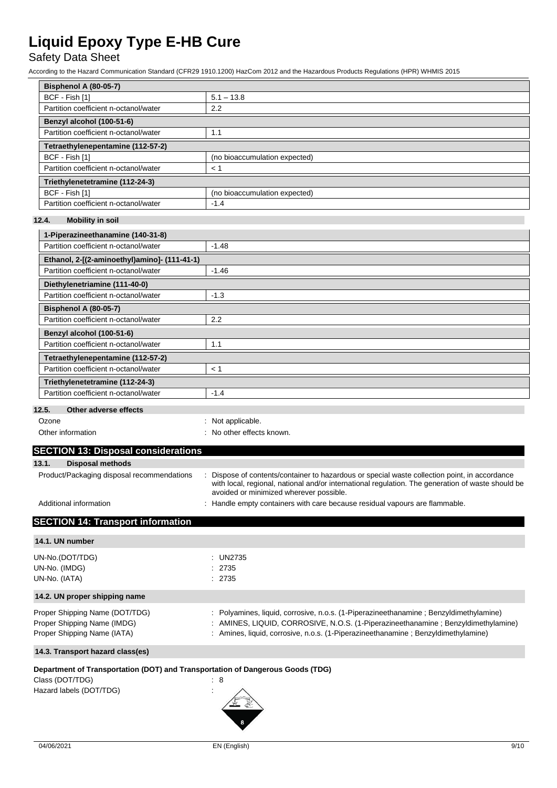## Safety Data Sheet

According to the Hazard Communication Standard (CFR29 1910.1200) HazCom 2012 and the Hazardous Products Regulations (HPR) WHMIS 2015

| <b>Bisphenol A (80-05-7)</b>          |                               |
|---------------------------------------|-------------------------------|
| BCF - Fish [1]                        | $5.1 - 13.8$                  |
| Partition coefficient n-octanol/water | 2.2                           |
| Benzyl alcohol (100-51-6)             |                               |
| Partition coefficient n-octanol/water | 1.1                           |
| Tetraethylenepentamine (112-57-2)     |                               |
| BCF - Fish [1]                        | (no bioaccumulation expected) |
| Partition coefficient n-octanol/water | < 1                           |
| Triethylenetetramine (112-24-3)       |                               |
| BCF - Fish [1]                        | (no bioaccumulation expected) |
| Partition coefficient n-octanol/water | $-1.4$                        |

### **12.4. Mobility in soil**

| 1-Piperazineethanamine (140-31-8)                       |         |
|---------------------------------------------------------|---------|
| Partition coefficient n-octanol/water                   | $-1.48$ |
| Ethanol, 2-[(2-aminoethyl)amino]- (111-41-1)            |         |
| Partition coefficient n-octanol/water                   | $-1.46$ |
| Diethylenetriamine (111-40-0)                           |         |
| Partition coefficient n-octanol/water                   | $-1.3$  |
| <b>Bisphenol A (80-05-7)</b>                            |         |
| Partition coefficient n-octanol/water                   | 2.2     |
| Benzyl alcohol (100-51-6)                               |         |
| Partition coefficient n-octanol/water                   | 1.1     |
| Tetraethylenepentamine (112-57-2)                       |         |
| Partition coefficient n-octanol/water                   | < 1     |
| Triethylenetetramine (112-24-3)                         |         |
| Partition coefficient n-octanol/water                   | $-1.4$  |
| $A$ the second contract of $B$ such as<br>$\sim$ $\sim$ |         |

#### **12.5. Other adverse effects**

| Ozone | : Not applicable. |
|-------|-------------------|
|       |                   |

- Other information **contact and the COV** other effects known.
- 

## **SECTION 13: Disposal considerations 13.1. Disposal methods** Product/Packaging disposal recommendations : Dispose of contents/container to hazardous or special waste collection point, in accordance with local, regional, national and/or international regulation. The generation of waste should be avoided or minimized wherever possible.

Additional information **interest in the containers** : Handle empty containers with care because residual vapours are flammable.

## **SECTION 14: Transport information**

| 14.1. UN number                                                                                                              |                                                                                                                                                                                                                                                                  |
|------------------------------------------------------------------------------------------------------------------------------|------------------------------------------------------------------------------------------------------------------------------------------------------------------------------------------------------------------------------------------------------------------|
| UN-No.(DOT/TDG)<br>UN-No. (IMDG)<br>UN-No. (IATA)                                                                            | : UN2735<br>: 2735<br>: 2735                                                                                                                                                                                                                                     |
| 14.2. UN proper shipping name                                                                                                |                                                                                                                                                                                                                                                                  |
| Proper Shipping Name (DOT/TDG)<br>Proper Shipping Name (IMDG)<br>Proper Shipping Name (IATA)                                 | : Polyamines, liquid, corrosive, n.o.s. (1-Piperazineethanamine; Benzyldimethylamine)<br>: AMINES, LIQUID, CORROSIVE, N.O.S. (1-Piperazineethanamine; Benzyldimethylamine)<br>: Amines, liquid, corrosive, n.o.s. (1-Piperazineethanamine ; Benzyldimethylamine) |
| 14.3. Transport hazard class(es)                                                                                             |                                                                                                                                                                                                                                                                  |
| Department of Transportation (DOT) and Transportation of Dangerous Goods (TDG)<br>Class (DOT/TDG)<br>Hazard labels (DOT/TDG) | : 8                                                                                                                                                                                                                                                              |